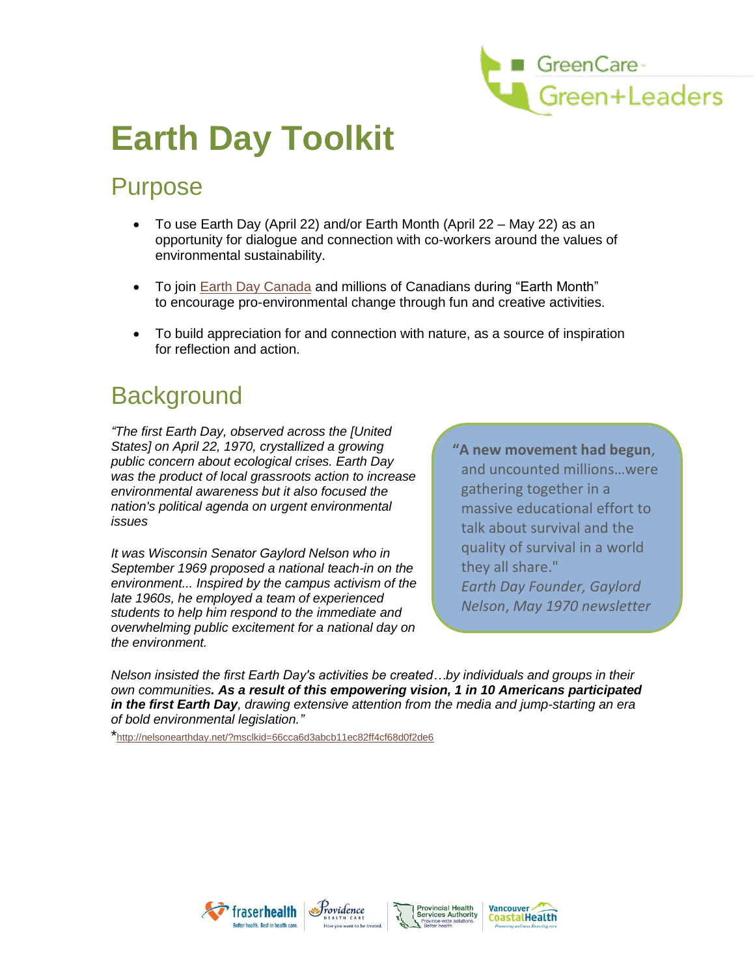

# **Earth Day Toolkit**

### Purpose

- To use Earth Day (April 22) and/or Earth Month (April 22 May 22) as an opportunity for dialogue and connection with co-workers around the values of environmental sustainability.
- To join [Earth Day Canada](http://www.earthday.ca/) and millions of Canadians during "Earth Month" to encourage pro-environmental change through fun and creative activities.
- To build appreciation for and connection with nature, as a source of inspiration for reflection and action.

### **Background**

*"The first Earth Day, observed across the [United States] on April 22, 1970, crystallized a growing public concern about ecological crises. Earth Day was the product of local grassroots action to increase environmental awareness but it also focused the nation's political agenda on urgent environmental issues*

*It was Wisconsin Senator Gaylord Nelson who in September 1969 proposed a national teach-in on the environment... Inspired by the campus activism of the late 1960s, he employed a team of experienced students to help him respond to the immediate and overwhelming public excitement for a national day on the environment.* 

**"A new movement had begun**, and uncounted millions…were gathering together in a massive educational effort to talk about survival and the quality of survival in a world they all share." *Earth Day Founder, Gaylord Nelson*, *May 1970 newsletter*

*Nelson insisted the first Earth Day's activities be created…by individuals and groups in their own communities. As a result of this empowering vision, 1 in 10 Americans participated in the first Earth Day, drawing extensive attention from the media and jump-starting an era of bold environmental legislation."*

\*http://nelsonearthday.net/?msclkid=66cca6d3abcb11ec82ff4cf68d0f2de6





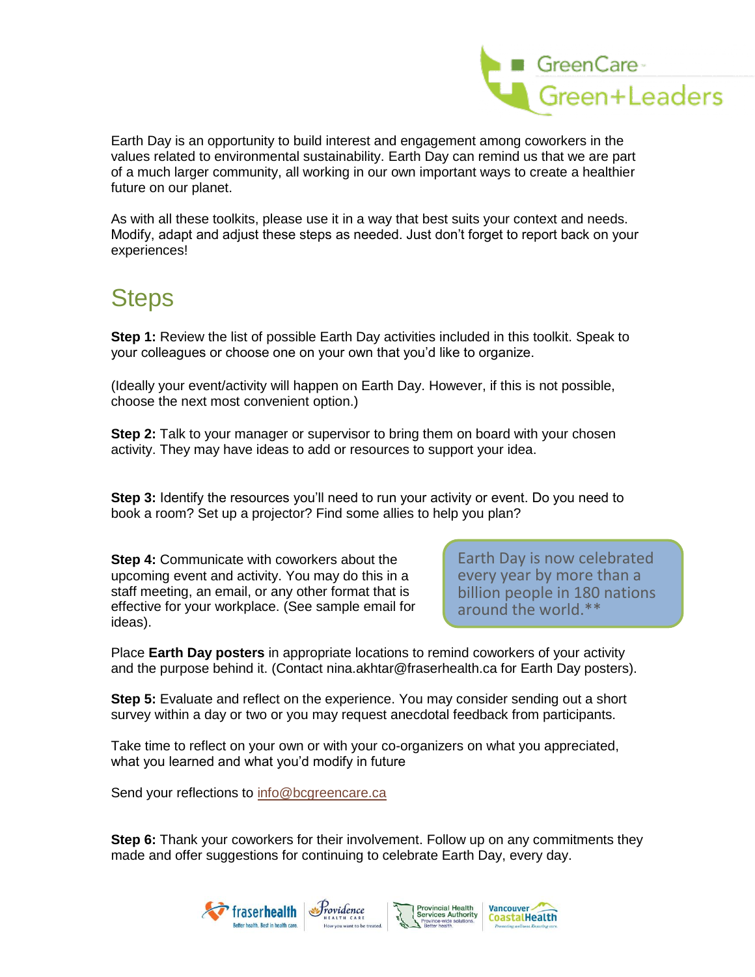

Earth Day is an opportunity to build interest and engagement among coworkers in the values related to environmental sustainability. Earth Day can remind us that we are part of a much larger community, all working in our own important ways to create a healthier future on our planet.

As with all these toolkits, please use it in a way that best suits your context and needs. Modify, adapt and adjust these steps as needed. Just don't forget to report back on your experiences!

## **Steps**

**Step 1:** Review the list of possible Earth Day activities included in this toolkit. Speak to your colleagues or choose one on your own that you'd like to organize.

(Ideally your event/activity will happen on Earth Day. However, if this is not possible, choose the next most convenient option.)

**Step 2:** Talk to your manager or supervisor to bring them on board with your chosen activity. They may have ideas to add or resources to support your idea.

**Step 3:** Identify the resources you'll need to run your activity or event. Do you need to book a room? Set up a projector? Find some allies to help you plan?

**Step 4:** Communicate with coworkers about the upcoming event and activity. You may do this in a staff meeting, an email, or any other format that is effective for your workplace. (See sample email for ideas).

Earth Day is now celebrated every year by more than a billion people in 180 nations around the world.\*\*

Place **Earth Day posters** in appropriate locations to remind coworkers of your activity and the purpose behind it. (Contact nina.akhtar@fraserhealth.ca for Earth Day posters).

**Step 5:** Evaluate and reflect on the experience. You may consider sending out a short survey within a day or two or you may request anecdotal feedback from participants.

Take time to reflect on your own or with your co-organizers on what you appreciated, what you learned and what you'd modify in future

Send your reflections to [info@bcgreencare.ca](mailto:sarah.currie@phsa.ca)

**Step 6:** Thank your coworkers for their involvement. Follow up on any commitments they made and offer suggestions for continuing to celebrate Earth Day, every day.

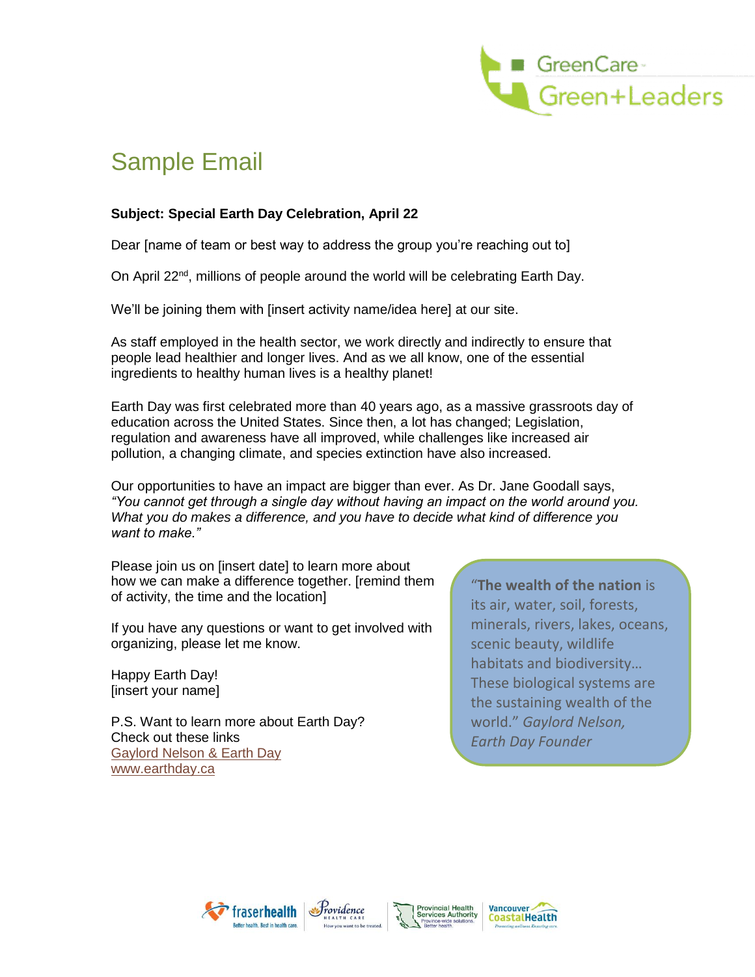

# Sample Email

### **Subject: Special Earth Day Celebration, April 22**

Dear [name of team or best way to address the group you're reaching out to]

On April 22<sup>nd</sup>, millions of people around the world will be celebrating Earth Day.

We'll be joining them with [insert activity name/idea here] at our site.

As staff employed in the health sector, we work directly and indirectly to ensure that people lead healthier and longer lives. And as we all know, one of the essential ingredients to healthy human lives is a healthy planet!

Earth Day was first celebrated more than 40 years ago, as a massive grassroots day of education across the United States. Since then, a lot has changed; Legislation, regulation and awareness have all improved, while challenges like increased air pollution, a changing climate, and species extinction have also increased.

Our opportunities to have an impact are bigger than ever. As Dr. Jane Goodall says, *"You cannot get through a single day without having an impact on the world around you. What you do makes a difference, and you have to decide what kind of difference you want to make."*

Please join us on [insert date] to learn more about how we can make a difference together. [remind them of activity, the time and the location]

If you have any questions or want to get involved with organizing, please let me know.

Happy Earth Day! [insert your name]

P.S. Want to learn more about Earth Day? Check out these links [Gaylord Nelson & Earth Day](http://nelsonearthday.net/?msclkid=66cca6d3abcb11ec82ff4cf68d0f2de6) [www.earthday.ca](http://www.earthday.ca/)

"**The wealth of the nation** is its air, water, soil, forests, minerals, rivers, lakes, oceans, scenic beauty, wildlife habitats and biodiversity… These biological systems are the sustaining wealth of the world." *Gaylord Nelson, Earth Day Founder*